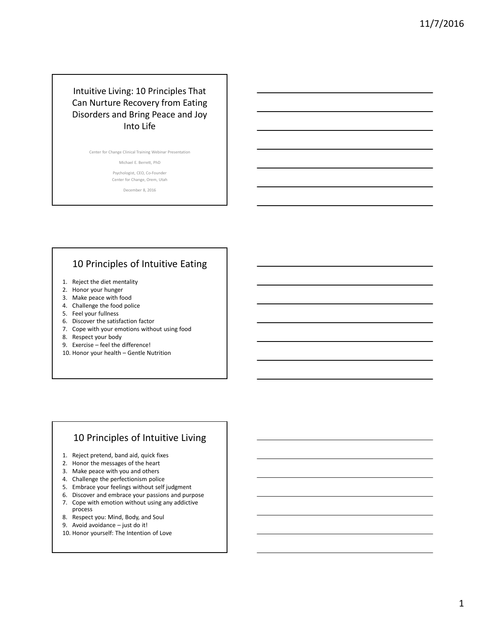## Intuitive Living: 10 Principles That Can Nurture Recovery from Eating Disorders and Bring Peace and Joy Into Life

Center for Change Clinical Training Webinar Presentation

Michael E. Berrett, PhD

Psychologist, CEO, Co-Founder Center for Change, Orem, Utah

December 8, 2016

## 10 Principles of Intuitive Eating

- 1. Reject the diet mentality
- 2. Honor your hunger
- 3. Make peace with food
- 4. Challenge the food police
- 5. Feel your fullness
- 6. Discover the satisfaction factor
- 7. Cope with your emotions without using food
- 8. Respect your body
- 9. Exercise feel the difference!
- 10. Honor your health Gentle Nutrition

#### 10 Principles of Intuitive Living

- 1. Reject pretend, band aid, quick fixes
- 2. Honor the messages of the heart
- 3. Make peace with you and others
- 4. Challenge the perfectionism police
- 5. Embrace your feelings without self judgment
- 6. Discover and embrace your passions and purpose
- 7. Cope with emotion without using any addictive process
- 8. Respect you: Mind, Body, and Soul
- 9. Avoid avoidance just do it!
- 10. Honor yourself: The Intention of Love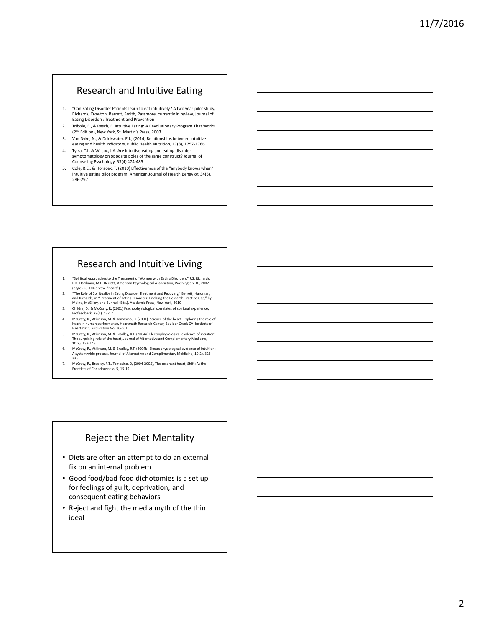#### Research and Intuitive Eating

- 1. "Can Eating Disorder Patients learn to eat intuitively? A two year pilot study, Richards, Crowton, Berrett, Smith, Passmore, currently in review, Journal of Eating Disorders: Treatment and Prevention
- 2. Tribole, E., & Resch, E. Intuitive Eating: A Revolutionary Program That Works (2nd Edition), New York, St. Martin's Press, 2003
- 3. Van Dyke, N., & Drinkwater, E.J., (2014) Relationships between intuitive eating and health indicators, Public Health Nutrition, 17(8), 1757-1766
- 4. Tylka, T.L. & Wilcox, J.A. Are intuitive eating and eating disorder symptomatology on opposite poles of the same construct? Journal of Counseling Psychology, 53(4) 474-485
- 5. Cole, R.E., & Horacek, T. (2010) Effectiveness of the "anybody knows when" intuitive eating pilot program, American Journal of Health Behavior, 34(3), 286-297

# Research and Intuitive Living

- 1. "Spiritual Approaches to the Treatment of Women with Eating Disorders," P.S. Richards, R.K. Hardman, M.E. Berrett, American Psychological Association, Washington DC, 2007 (pages 98-104 on the "heart")
- 2. "The Role of Spirituality in Eating Disorder Treatment and Recovery," Berrett, Hardman, and Richards, in "Treatment of Eating Disorders: Bridging the Research Practice Gap," by Maine, McGilley, and Bunnell (Eds.), Academic Press, New York, 2010
- 3. Childre, D., & McCraty, R. (2001) Psychophysiological correlates of spiritual experience, Biofeedback, 29(4), 13-17 4. McCraty, R., Atkinson, M. & Tomasino, D. (2001). Science of the heart: Exploring the role of
- heart in human performance, Heartmath Research Center, Boulder Creek CA: Institute of Heartmath, Publication No. 10-001
- 5. McCraty, R., Atkinson, M. & Bradley, R.T. (2004a) Electrophysiological evidence of intuition: The surprising role of the heart, Journal of Alternative and Complementary Medicine, 10(2), 133-143
- 6. McCraty, R., Atkinson, M. & Bradley, R.T. (2004b) Electrophysiological evidence of intuition: A system wide process, Journal of Alternative and Complimentary Meidicine, 10(2), 325- 336
- 7. McCraty, R., Bradley, R.T., Tomasino, D, (2004-2005), The resonant heart, Shift: At the Frontiers of Consciousness, 5, 15-19

## Reject the Diet Mentality

- Diets are often an attempt to do an external fix on an internal problem
- Good food/bad food dichotomies is a set up for feelings of guilt, deprivation, and consequent eating behaviors
- Reject and fight the media myth of the thin ideal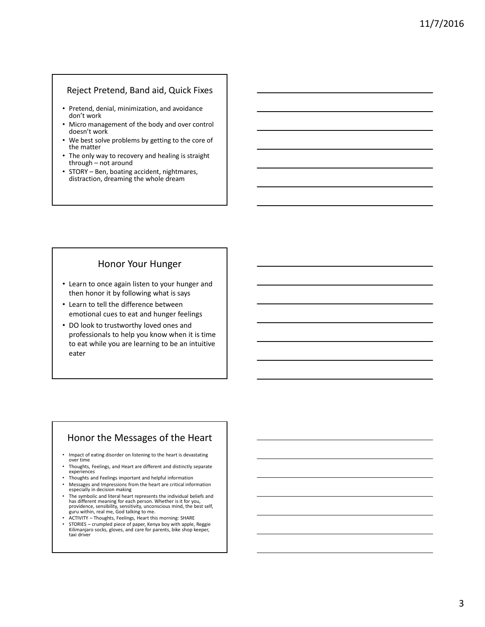#### Reject Pretend, Band aid, Quick Fixes

- Pretend, denial, minimization, and avoidance don't work
- Micro management of the body and over control doesn't work
- We best solve problems by getting to the core of the matter
- The only way to recovery and healing is straight through – not around
- STORY Ben, boating accident, nightmares, distraction, dreaming the whole dream

## Honor Your Hunger

- Learn to once again listen to your hunger and then honor it by following what is says
- Learn to tell the difference between emotional cues to eat and hunger feelings
- DO look to trustworthy loved ones and professionals to help you know when it is time to eat while you are learning to be an intuitive eater

#### Honor the Messages of the Heart

- Impact of eating disorder on listening to the heart is devastating over time
- Thoughts, Feelings, and Heart are different and distinctly separate experiences
- Thoughts and Feelings important and helpful information
- Messages and Impressions from the heart are critical information especially in decision making
- The symbolic and literal heart represents the individual beliefs and<br>has different meaning for each person. Whether is it for you,<br>providence, sensibility, sensitivity, unconscious mind, the best self,<br>guru within, real
- ACTIVITY Thoughts, Feelings, Heart this morning: SHARE
- STORIES crumpled piece of paper, Kenya boy with apple, Reggie Kilimanjaro socks, gloves, and care for parents, bike shop keeper, taxi driver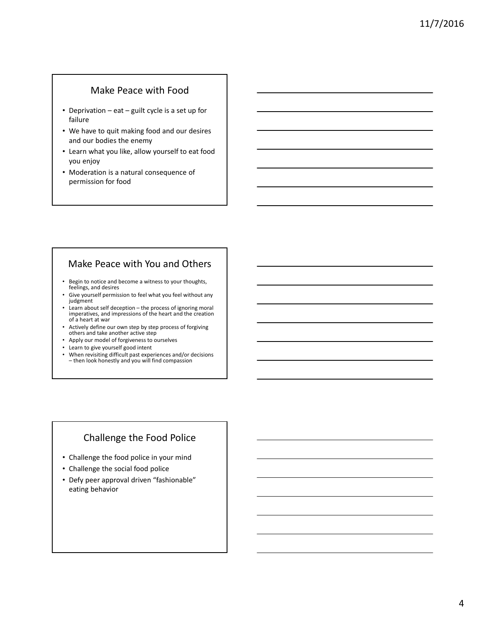#### Make Peace with Food

- Deprivation eat guilt cycle is a set up for failure
- We have to quit making food and our desires and our bodies the enemy
- Learn what you like, allow yourself to eat food you enjoy
- Moderation is a natural consequence of permission for food

## Make Peace with You and Others

- Begin to notice and become a witness to your thoughts, feelings, and desires
- Give yourself permission to feel what you feel without any judgment
- Learn about self deception the process of ignoring moral imperatives, and impressions of the heart and the creation of a heart at war
- Actively define our own step by step process of forgiving others and take another active step
- Apply our model of forgiveness to ourselves
- Learn to give yourself good intent
- When revisiting difficult past experiences and/or decisions – then look honestly and you will find compassion

# Challenge the Food Police

- Challenge the food police in your mind
- Challenge the social food police
- Defy peer approval driven "fashionable" eating behavior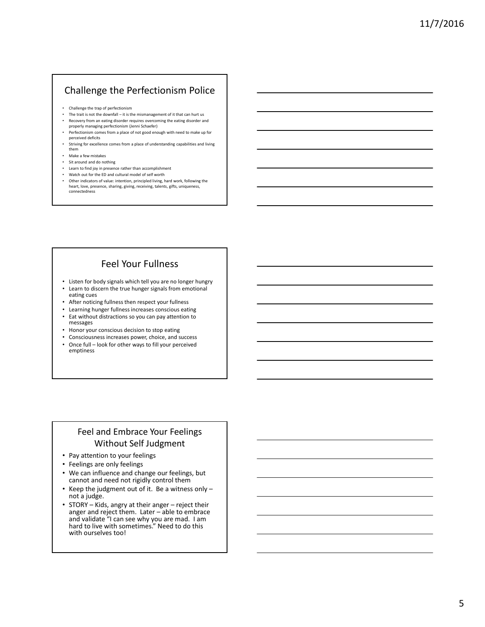# Challenge the Perfectionism Police

- Challenge the trap of perfectionism
- The trait is not the downfall it is the mismanagement of it that can hurt us • Recovery from an eating disorder requires overcoming the eating disorder and
- properly managing perfectionism (Jenni Schaefer) • Perfectionism comes from a place of not good enough with need to make up for
- perceived deficits • Striving for excellence comes from a place of understanding capabilities and living them
- 
- Make a few mistakes • Sit around and do nothing
- Learn to find joy in presence rather than accomplishment
- Watch out for the ED and cultural model of self worth
- Other indicators of value: intention, principled living, hard work, following the heart, love, presence, sharing, giving, receiving, talents, gifts, uniqueness, connectedness

# Feel Your Fullness

- Listen for body signals which tell you are no longer hungry
- Learn to discern the true hunger signals from emotional eating cues
- After noticing fullness then respect your fullness
- Learning hunger fullness increases conscious eating
- Eat without distractions so you can pay attention to messages
- Honor your conscious decision to stop eating
- Consciousness increases power, choice, and success
- Once full look for other ways to fill your perceived emptiness

## Feel and Embrace Your Feelings Without Self Judgment

- Pay attention to your feelings
- Feelings are only feelings
- We can influence and change our feelings, but cannot and need not rigidly control them
- Keep the judgment out of it. Be a witness only not a judge.
- STORY Kids, angry at their anger reject their anger and reject them. Later – able to embrace and validate "I can see why you are mad. I am hard to live with sometimes." Need to do this with ourselves too!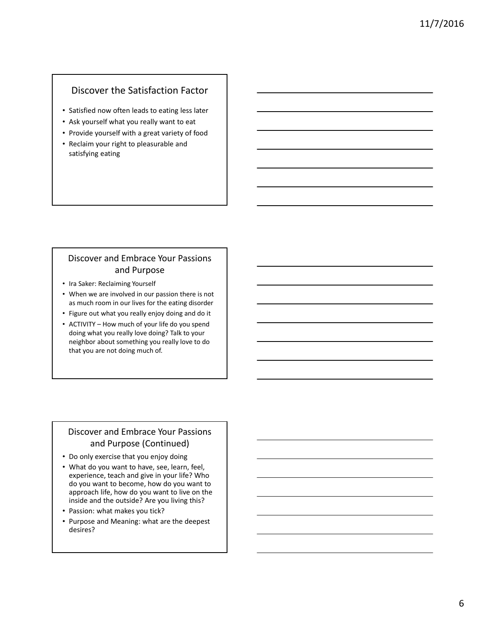## Discover the Satisfaction Factor

- Satisfied now often leads to eating less later
- Ask yourself what you really want to eat
- Provide yourself with a great variety of food
- Reclaim your right to pleasurable and satisfying eating

#### Discover and Embrace Your Passions and Purpose

- Ira Saker: Reclaiming Yourself
- When we are involved in our passion there is not as much room in our lives for the eating disorder
- Figure out what you really enjoy doing and do it
- ACTIVITY How much of your life do you spend doing what you really love doing? Talk to your neighbor about something you really love to do that you are not doing much of.

## Discover and Embrace Your Passions and Purpose (Continued)

- Do only exercise that you enjoy doing
- What do you want to have, see, learn, feel, experience, teach and give in your life? Who do you want to become, how do you want to approach life, how do you want to live on the inside and the outside? Are you living this?
- Passion: what makes you tick?
- Purpose and Meaning: what are the deepest desires?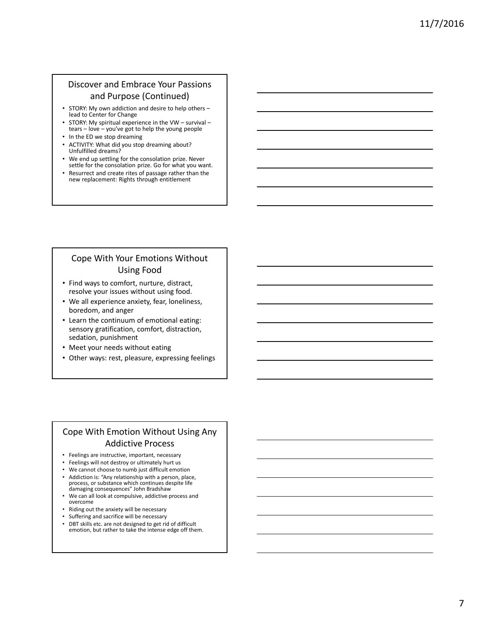## Discover and Embrace Your Passions and Purpose (Continued)

- STORY: My own addiction and desire to help others lead to Center for Change
- STORY: My spiritual experience in the VW survival tears – love – you've got to help the young people
- In the ED we stop dreaming
- ACTIVITY: What did you stop dreaming about? Unfulfilled dreams?
- We end up settling for the consolation prize. Never settle for the consolation prize. Go for what you want.
- Resurrect and create rites of passage rather than the new replacement: Rights through entitlement

#### Cope With Your Emotions Without Using Food

- Find ways to comfort, nurture, distract, resolve your issues without using food.
- We all experience anxiety, fear, loneliness, boredom, and anger
- Learn the continuum of emotional eating: sensory gratification, comfort, distraction, sedation, punishment
- Meet your needs without eating
- Other ways: rest, pleasure, expressing feelings

## Cope With Emotion Without Using Any Addictive Process

- Feelings are instructive, important, necessary
- Feelings will not destroy or ultimately hurt us
- We cannot choose to numb just difficult emotion
- Addiction is: "Any relationship with a person, place, process, or substance which continues despite life damaging consequences" John Bradshaw
- We can all look at compulsive, addictive process and overcome
- Riding out the anxiety will be necessary
- Suffering and sacrifice will be necessary
- DBT skills etc. are not designed to get rid of difficult emotion, but rather to take the intense edge off them.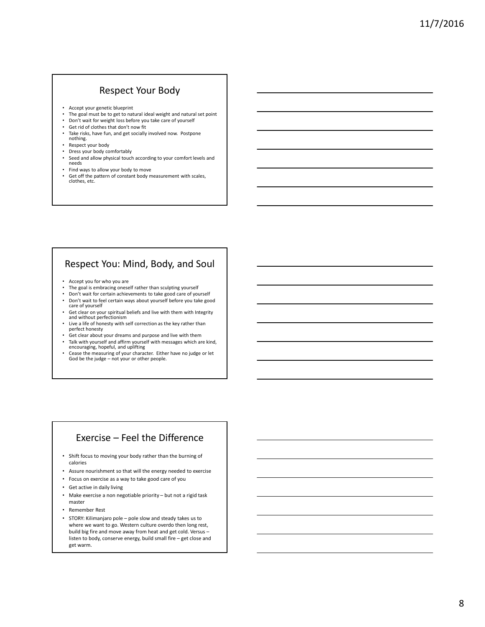#### Respect Your Body

- Accept your genetic blueprint
- The goal must be to get to natural ideal weight and natural set point<br>• Don't wait for weight loss before you take care of yourself
- Don't wait for weight loss before you take care of yourself
- Get rid of clothes that don't now fit • Take risks, have fun, and get socially involved now. Postpone nothing.
- 
- Respect your body<br>• Dress your body co
- Dress your body comfortably<br>• Seed and allow physical touch Seed and allow physical touch according to your comfort levels and needs
- Find ways to allow your body to move
- Get off the pattern of constant body measurement with scales, clothes, etc.

## Respect You: Mind, Body, and Soul

- Accept you for who you are
- The goal is embracing oneself rather than sculpting yourself<br>• Don't wait for cortain achievements to take good care of you
- Don't wait for certain achievements to take good care of yourself<br>• Don't wait to fool certain wave about yourself before you take good
- Don't wait to feel certain ways about yourself before you take good care of yourself Get clear on your spiritual beliefs and live with them with Integrity
- and without perfectionism • Live a life of honesty with self correction as the key rather than
- perfect honesty
- Get clear about your dreams and purpose and live with them • Talk with yourself and affirm yourself with messages which are kind, encouraging, hopeful, and uplifting
- Cease the measuring of your character. Either have no judge or let God be the judge – not your or other people.

## Exercise – Feel the Difference

- Shift focus to moving your body rather than the burning of calories
- Assure nourishment so that will the energy needed to exercise
- Focus on exercise as a way to take good care of you
- Get active in daily living
- Make exercise a non negotiable priority but not a rigid task master
- Remember Rest
- STORY: Kilimanjaro pole pole slow and steady takes us to where we want to go. Western culture overdo then long rest, build big fire and move away from heat and get cold. Versus – listen to body, conserve energy, build small fire – get close and get warm.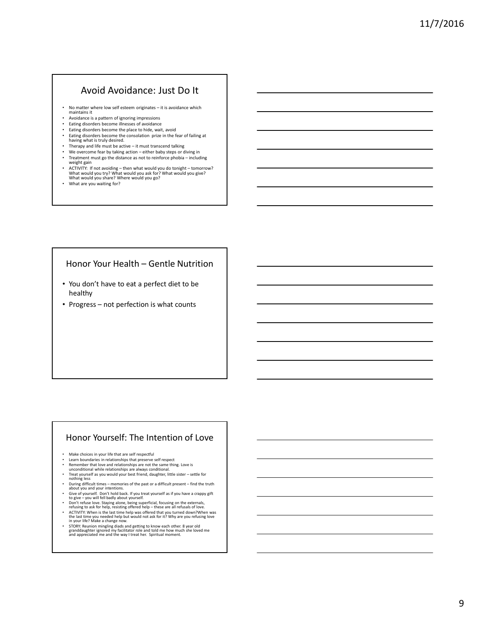#### Avoid Avoidance: Just Do It

- No matter where low self esteem originates it is avoidance which maintains it
- Avoidance is a pattern of ignoring impressions
- Eating disorders become illnesses of avoidance Eating disorders become the place to hide, wait, avoid
- Eating disorders become the consolation prize in the fear of failing at having what is truly desired.
- Therapy and life must be active it must transcend talking<br>• We overcome fear by taking action either haby steps or d
- We overcome fear by taking action either baby steps or diving in<br>• Treatment must go the distance as not to reinforce phobia include
- Treatment must go the distance as not to reinforce phobia including weight gain
- ACTIVITY: If not avoiding then what would you do tonight tomorrow?<br>What would you try? What would you ask for? What would you give?<br>What would you share? Where would you go?
- What are you waiting for?

#### Honor Your Health – Gentle Nutrition

- You don't have to eat a perfect diet to be healthy
- Progress not perfection is what counts

#### Honor Yourself: The Intention of Love

- Make choices in your life that are self respectful<br>• Learn boundaries in relationships that preserve
- Learn boundaries in relationships that preserve self respect<br>• Remember that love and relationships are not the same thin
- 
- Remember that love and relationships are not the same thing. Love is<br>
unconditional while relationships are always conditional.<br>
 Treat yourself as you would your best friend, daughter, little sister settle for<br>
nothi
- 
- During difficult times memories of the past or a difficult present find the truth<br>• Give of yourself. Don't hold back. If you treat yourself as if you have a crappy gift<br>• Give you will fell badly about yourself.
- 
- Don't refuse love. Staying alone, being superficial, focusing on the externals,<br>refusing to ask for help, resisting offered help these are all refusals of love.<br>• ACTIVITY: When is the last time help was offered that
- STORY: Reunion mingling diads and getting to know each other. 8 year old granddaughter ignored my facilitator role and told me how much she loved me and appreciated me and the way I treat her. Spiritual moment.